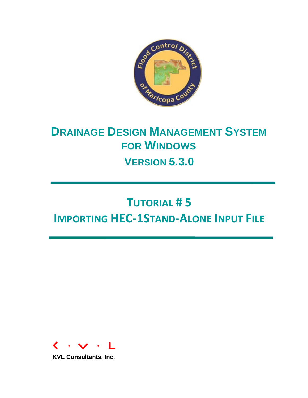

# **DRAINAGE DESIGN MANAGEMENT SYSTEM FOR WINDOWS VERSION 5.3.0**

# **TUTORIAL # 5 IMPORTING HEC-1STAND-ALONE INPUT FILE**



**KVL Consultants, Inc.**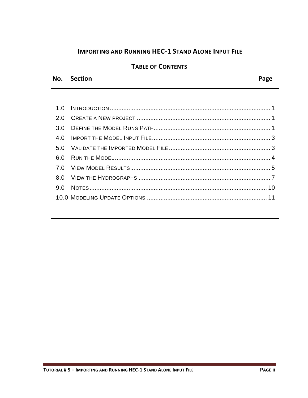# **IMPORTING AND RUNNING HEC-1 STAND ALONE INPUT FILE**

# **TABLE OF CONTENTS**

#### No. Section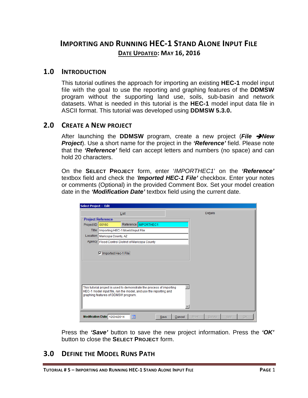# **IMPORTING AND RUNNING HEC-1 STAND ALONE INPUT FILE DATE UPDATED: MAY 16, 2016**

#### <span id="page-2-0"></span>**1.0 INTRODUCTION**

This tutorial outlines the approach for importing an existing **HEC-1** model input file with the goal to use the reporting and graphing features of the **DDMSW** program without the supporting land use, soils, sub-basin and network datasets. What is needed in this tutorial is the **HEC-1** model input data file in ASCII format. This tutorial was developed using **DDMSW 5.3.0.**

#### <span id="page-2-1"></span>**2.0 CREATE A NEW PROJECT**

After launching the **DDMSW** program, create a new project (*File New Project*). Use a short name for the project in the *'Reference'* field. Please note that the *'Reference'* field can accept letters and numbers (no space) and can hold 20 characters.

On the **SELECT PROJECT** form, enter '*IMPORTHEC1*' on the *'Reference'* textbox field and check the *'Imported HEC-1 File'* checkbox. Enter your notes or comments (Optional) in the provided Comment Box. Set your model creation date in the *'Modification Date'* textbox field using the current date.

| Select Project -- Edit |                                                                                                         |                        |        |                        |           |
|------------------------|---------------------------------------------------------------------------------------------------------|------------------------|--------|------------------------|-----------|
|                        | List                                                                                                    |                        |        | Details                |           |
|                        | <b>Project Reference</b>                                                                                |                        |        |                        |           |
| Project ID 00160       |                                                                                                         | Reference   IMPORTHEC1 |        |                        |           |
| Title                  | Importing HEC-1 Moeld Input File                                                                        |                        |        |                        |           |
| Location               | Maricopa County, AZ                                                                                     |                        |        |                        |           |
|                        | Agency   Flood Control District of Maricopa County                                                      |                        |        |                        |           |
|                        |                                                                                                         |                        |        |                        |           |
|                        | <b>Ø</b> Imported Hec-1 File                                                                            |                        |        |                        |           |
|                        |                                                                                                         |                        |        |                        |           |
|                        |                                                                                                         |                        |        |                        |           |
|                        |                                                                                                         |                        |        |                        |           |
|                        |                                                                                                         |                        |        |                        |           |
|                        |                                                                                                         |                        |        |                        |           |
|                        | This tutorial project is used to demonstrate the process of importing                                   |                        |        |                        |           |
|                        | HEC-1 model input file, run the model, and use the reporting and<br>graphing features of DDMSW program. |                        |        |                        |           |
|                        |                                                                                                         |                        |        |                        |           |
|                        |                                                                                                         |                        |        |                        |           |
|                        |                                                                                                         |                        |        |                        |           |
|                        | Modification Date 12/24/2014<br>爾                                                                       | Save                   | Cancel | Print<br><b>Delete</b> | Add<br>OK |

Press the *'Save'* button to save the new project information. Press the *'OK'* button to close the **SELECT PROJECT** form.

# <span id="page-2-2"></span>**3.0 DEFINE THE MODEL RUNS PATH**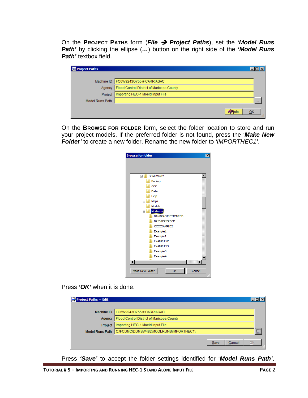On the **PROJECT PATHS** form (*File Project Paths*), set the **'***Model Runs Path'* by clicking the ellipse (*…*) button on the right side of the *'Model Runs Path'* textbox field.

| <b>Project Paths</b> |                                           |    |
|----------------------|-------------------------------------------|----|
| Machine ID           | FC6W9243O755#CARRIAGAC                    |    |
| Agency               | Flood Control District of Maricopa County |    |
| Project              | Importing HEC-1 Moeld Input File          |    |
| Model Runs Path      |                                           |    |
|                      |                                           | ОК |

On the **BROWSE FOR FOLDER** form, select the folder location to store and run your project models. If the preferred folder is not found, press the '*Make New Folder'* to create a new folder. Rename the new folder to *'IMPORTHEC1'.*

| <b>Browse for folder</b> | $\boldsymbol{\mathsf{x}}$ |
|--------------------------|---------------------------|
|                          |                           |
|                          |                           |
|                          |                           |
| DDMSW482<br>$\Box$       |                           |
| Backup                   |                           |
| CCC                      |                           |
| Data                     |                           |
| Help                     |                           |
| Maps<br>$\overline{+}$   |                           |
| Models                   |                           |
| Modiruns<br>$\Box$       |                           |
| <b>BANKPROTECTIONFCD</b> |                           |
| <b>BRIDGEPIERFCD</b>     |                           |
| CCCEXAMPLE2              |                           |
| Example 1                |                           |
| Example <sub>2</sub>     |                           |
| EXAMPLE2P                |                           |
| <b>EXAMPLE2S</b>         |                           |
| Example3                 |                           |
| Example4                 |                           |
|                          | ь                         |
|                          |                           |
| Make New Folder<br>OK    | Cancel                    |
|                          |                           |

Press *'OK'* when it is done.

| Project Paths -- Edit  |                                           |                      |         |
|------------------------|-------------------------------------------|----------------------|---------|
|                        |                                           |                      |         |
| Machine ID             | FC6W9243O755#CARRIAGAC                    |                      |         |
| Agency                 | Flood Control District of Maricopa County |                      |         |
| Project                | Importing HEC-1 Moeld Input File          |                      |         |
| <b>Model Runs Path</b> | C:\FCDMC\DDMSW482\MODLRUNS\IMPORTHEC1\    |                      | <br>Umb |
|                        |                                           |                      |         |
|                        |                                           | OK<br>Save<br>Cancel |         |

Press *'Save'* to accept the folder settings identified for '*Model Runs Path'*.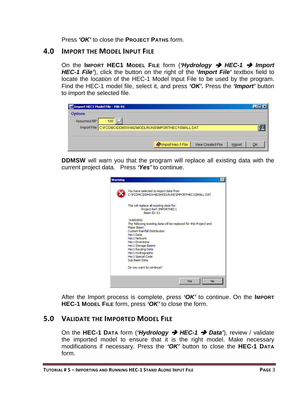Press *'OK'* to close the **PROJECT PATHS** form.

#### <span id="page-4-0"></span>**4.0 IMPORT THE MODEL INPUT FILE**

On the **IMPORT HEC1 MODEL FILE** form (*'Hydrology HEC-1 Import HEC-1 File'*), click the button on the right of the **'***Import File'* textbox field to locate the location of the HEC-1 Model Input File to be used by the program. Find the HEC-1 model file, select it, and press *'OK'.* Press the *'Import'* button to import the selected file.

| <b>Ex</b> Import HEC1 Model File - MB: 01 |                                                             |                   |                   |        | $  \square   \square   \times  $ |
|-------------------------------------------|-------------------------------------------------------------|-------------------|-------------------|--------|----------------------------------|
| <b>Options</b>                            |                                                             |                   |                   |        |                                  |
| Assumed RP                                | 100                                                         |                   |                   |        |                                  |
|                                           | Import File C:\FCDMC\DDMSW482\MODLRUNS\IMPORTHEC1\SMALL.DAT |                   |                   |        |                                  |
|                                           |                                                             |                   |                   |        |                                  |
|                                           |                                                             |                   |                   |        |                                  |
|                                           |                                                             | Import Hec-1 File | View Created File | Import | QK                               |

**DDMSW** will warn you that the program will replace all existing data with the current project data. Press *'Yes'* to continue.

| Warning |                                                                                                                                                                                                                                                                                                                 |
|---------|-----------------------------------------------------------------------------------------------------------------------------------------------------------------------------------------------------------------------------------------------------------------------------------------------------------------|
|         | You have selected to import data from<br>C:\FCDMC\DDMSW482\MODLRUNS\IMPORTHEC1\SMALL.DAT                                                                                                                                                                                                                        |
|         | This will replace all existing data for:<br>Project Ref: IMPORTHEC1<br>Basin ID: 01                                                                                                                                                                                                                             |
|         | <b>WARNING</b><br>The following existing data will be replaced for this Project and<br>Major Basin:<br><b>Custom Rainfall Distribution</b><br>Hec1 Data<br>Hec1 Network<br><b>Hec1 Diversions</b><br><b>Hec1 Storage Basins</b><br>Hec1 Routing Data<br>Hec1 Hydrographs<br>Hec1 Special Code<br>Sub Basin Data |
|         | Do you want to continue?                                                                                                                                                                                                                                                                                        |
|         | <b>No</b><br>Yes                                                                                                                                                                                                                                                                                                |

After the Import process is complete, press *'OK'* to continue. On the **IMPORT HEC-1 MODEL FILE** form, press *'OK'* to close the form.

#### <span id="page-4-1"></span>**5.0 VALIDATE THE IMPORTED MODEL FILE**

On the **HEC-1 DATA** form (*'Hydrology HEC-1 Data'*), review / validate the imported model to ensure that it is the right model. Make necessary modifications if necessary. Press the *'OK'* button to close the **HEC-1 DATA** form.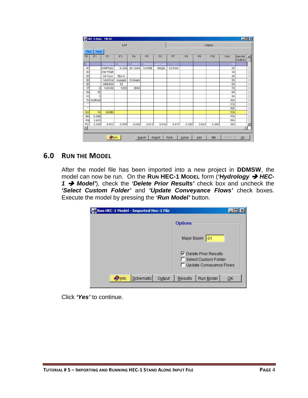|                              |                | HEC-1 Data - MB: 01 |                |                |                |                |         |                |                |           |        |                    | $\Box$ D $\Box$          |
|------------------------------|----------------|---------------------|----------------|----------------|----------------|----------------|---------|----------------|----------------|-----------|--------|--------------------|--------------------------|
|                              |                |                     | List           |                |                |                |         |                |                | Details   |        |                    |                          |
| Find                         | Next           |                     |                |                |                |                |         |                |                |           |        |                    |                          |
| F <sub>0</sub>               | F <sub>1</sub> | F <sub>2</sub>      | F <sub>3</sub> | F <sub>4</sub> | F <sub>5</sub> | F <sub>6</sub> | F7      | F <sub>8</sub> | F <sub>9</sub> | F10       | Sort   | Special<br>Code ID |                          |
| ID                           |                | Flood Co            | ntrol Di       | strict o       | f Marico       | pa Count       |         |                |                |           | 10     |                    |                          |
| ID                           |                | <b>EXAMPLE2</b>     | - S-Gra        | ph, Gree       | n-Ampt,        | Single,        | 24 Hour |                |                |           | 20     |                    |                          |
| ID                           |                | <b>100 YEAR</b>     |                |                |                |                |         |                |                |           | 30     |                    |                          |
| ID                           |                | 24 Hour             | Storm          |                |                |                |         |                |                |           | 40     |                    |                          |
| ID                           |                | Unit Hyd            | rograph:       | S-Graph        |                |                |         |                |                |           | 50     |                    |                          |
| ID                           |                | 04/09/20            | 13             |                |                |                |         |                |                |           | 60     |                    |                          |
| IT                           | 3              | <b>1JAN99</b>       | 1200           | 2000           |                |                |         |                |                |           | 70     |                    |                          |
| IN                           | 15             |                     |                |                |                |                |         |                |                |           | 80     |                    |                          |
| IO                           | 3              |                     |                |                |                |                |         |                |                |           | 90     |                    |                          |
| *D                           | <b>IAGRAM</b>  |                     |                |                |                |                |         |                |                |           | 100    |                    |                          |
| ×                            |                |                     |                |                |                |                |         |                |                |           | 110    |                    |                          |
| $\star$                      |                |                     |                |                |                |                |         |                |                |           | 120    |                    |                          |
| KK                           | 1A             | <b>BASIN</b>        |                |                |                |                |         |                |                |           | 130    |                    |                          |
| <b>BA</b>                    | 6.690          |                     |                |                |                |                |         |                |                |           | 140    |                    |                          |
| PB                           | 3.831          |                     |                |                |                |                |         |                |                |           | 150    |                    |                          |
| PC<br>$\left  \cdot \right $ | 0.000          | 0.002               | 0.005          | 0.008          | 0.011          | 0.014          | 0.017   | 0.020          | 0.023          | 0.026     | 160    |                    | $\overline{\phantom{a}}$ |
|                              |                |                     |                |                |                |                |         |                |                |           |        |                    |                          |
|                              |                | <b>O</b> Info       |                |                | Export         | <b>Resort</b>  | Print   | <b>Delete</b>  | Add            | <b>MB</b> | Update | QK                 |                          |

# <span id="page-5-0"></span>**6.0 RUN THE MODEL**

After the model file has been imported into a new project in **DDMSW**, the model can now be run. On the Run HEC-1 Model form ('*Hydrology → HEC-1 Model'*), check the *'Delete Prior Results'* check box and uncheck the *'Select Custom Folder'* and *'Update Conveyance Flows'* check boxes. Execute the model by pressing the *'Run Model'* button.

| Run HEC-1 Model - Imported Hec-1 File |                                                                                              |
|---------------------------------------|----------------------------------------------------------------------------------------------|
|                                       | <b>Options</b>                                                                               |
|                                       | Major Basin<br>101                                                                           |
|                                       | <b>▽</b> Delete Prior Results<br>Select Custom Folder<br><b>Update Conveyance Flows</b><br>H |
| Schematic<br>Output<br><b>Olnfo</b>   | Run Model<br>Results<br>QK                                                                   |

Click *'Yes'* to continue.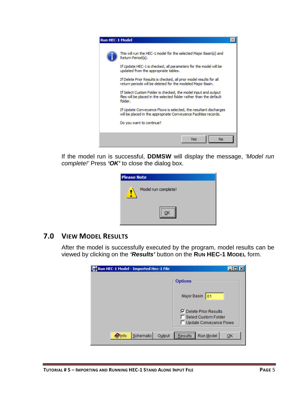

If the model run is successful, **DDMSW** will display the message, *'Model run complete!'* Press *'OK'* to close the dialog box.

| <b>Please Note</b>  |
|---------------------|
| Model run complete! |
|                     |

#### <span id="page-6-0"></span>**7.0 VIEW MODEL RESULTS**

After the model is successfully executed by the program, model results can be viewed by clicking on the *'Results'* button on the **RUN HEC-1 MODEL** form.

| Run HEC-1 Model - Imported Hec-1 File |                                                                                                |
|---------------------------------------|------------------------------------------------------------------------------------------------|
|                                       | <b>Options</b>                                                                                 |
|                                       | Major Basin<br>101                                                                             |
|                                       | <b>▽</b> Delete Prior Results<br><b>Select Custom Folder</b><br><b>Update Conveyance Flows</b> |
| Schematic<br>Output<br><b>O</b> lnfo  | <br>Run Model<br><b>Results</b><br>QK                                                          |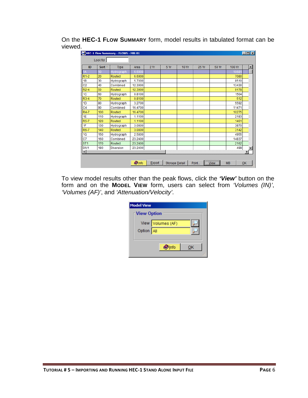On the **HEC-1 FLOW SUMMARY** form, model results in tabulated format can be viewed.

| ID                     | Sort | <b>Type</b>      | Area    | 2Yr | 5 Yr | <b>10 Yr</b> | 25 Yr | 50 Yr | 100 Yr | $\blacktriangle$ |
|------------------------|------|------------------|---------|-----|------|--------------|-------|-------|--------|------------------|
| 1A                     | 10   | Hydrograph       | 6.6900  |     |      |              |       |       | 1068   |                  |
| $R1-2$                 | 20   | Routed           | 6.6900  |     |      |              |       |       | 7080   |                  |
| 1B                     | 30   | Hydrograph       | 5.7000  |     |      |              |       |       | 8510   |                  |
| C <sub>2</sub>         | 40   | Combined         | 12.3900 |     |      |              |       |       | 13430  |                  |
| $R2-4$                 | 50   | Routed           | 12.3900 |     |      |              |       |       | 9178   |                  |
| 1 <sub>C</sub>         | 60   | Hydrograph       | 0.8100  |     |      |              |       |       | 1504   |                  |
| $R3-4$                 | 70   | Routed           | 0.8100  |     |      |              |       |       | 512    |                  |
| 1 <sub>D</sub>         | 80   | Hydrograph       | 3.2700  |     |      |              |       |       | 5592   |                  |
| C <sub>4</sub>         | 90   | Combined         | 16.4700 |     |      |              |       |       | 11471  |                  |
| R4-7                   | 100  | Routed           | 16.4700 |     |      |              |       |       | 10275  |                  |
| 1E                     | 110  | Hydrograph       | 1.1100  |     |      |              |       |       | 2183   |                  |
| <b>R5-7</b>            | 120  | Routed           | 1.1100  |     |      |              |       |       | 1461   |                  |
| 1F                     | 130  | Hydrograph       | 3.0800  |     |      |              |       |       | 3870   |                  |
| R6-7                   | 140  | Routed           | 3.0800  |     |      |              |       |       | 3142   |                  |
| 1G                     | 150  | Hydrograph       | 2.5800  |     |      |              |       |       | 4955   |                  |
| C7                     | 160  | Combined         | 23.2400 |     |      |              |       |       | 14837  |                  |
| ST <sub>1</sub>        | 170  | Routed           | 23.2400 |     |      |              |       |       | 2162   |                  |
| DIV <sub>1</sub>       | 180  | <b>Diversion</b> | 23.2400 |     |      |              |       |       | 499    |                  |
| $\left  \cdot \right $ |      |                  |         |     |      |              |       |       |        | ٠                |

To view model results other than the peak flows, click the *'View'* button on the form and on the **MODEL VIEW** form, users can select from *'Volumes (IN)'*, *'Volumes (AF)'*, and *'Attenuation/Velocity'*.

| <b>Model View</b>  |                   |    |  |
|--------------------|-------------------|----|--|
| <b>View Option</b> |                   |    |  |
|                    | View Volumes (AF) |    |  |
| Option All         |                   |    |  |
|                    |                   |    |  |
|                    | <b>D</b> Info     | ОΚ |  |
|                    |                   |    |  |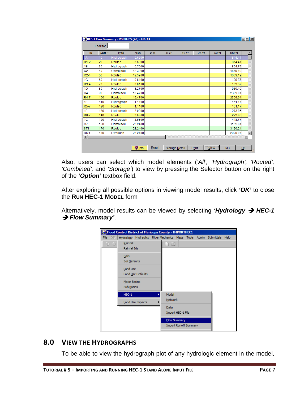| ID                     | Sort             | <b>Type</b>      | Area    | 2Yr | 5 Yr | <b>10 Yr</b> | <b>25 Yr</b> | 50 Yr | 100 Yr  | $\blacktriangle$ |
|------------------------|------------------|------------------|---------|-----|------|--------------|--------------|-------|---------|------------------|
| А                      | 10 <sup>10</sup> | Hydrograph       | 6.6900  |     |      |              |              |       | 814.41  |                  |
| $R1-2$                 | 20               | Routed           | 6.6900  |     |      |              |              |       | 814.41  |                  |
| 1B                     | 30               | Hydrograph       | 5.7000  |     |      |              |              |       | 854.79  |                  |
| C <sub>2</sub>         | 40               | Combined         | 12.3900 |     |      |              |              |       | 1669.19 |                  |
| $R2-4$                 | 50               | Routed           | 12.3900 |     |      |              |              |       | 1669.19 |                  |
| 1 <sup>C</sup>         | 60               | Hydrograph       | 0.8100  |     |      |              |              |       | 109.37  |                  |
| $R3-4$                 | 70               | Routed           | 0.8100  |     |      |              |              |       | 109.37  |                  |
| 1D                     | 80               | Hydrograph       | 3.2700  |     |      |              |              |       | 530.45  |                  |
| C <sub>4</sub>         | 90               | Combined         | 16.4700 |     |      |              |              |       | 2309.01 |                  |
| R4-7                   | 100              | Routed           | 16.4700 |     |      |              |              |       | 2309.01 |                  |
| 1E                     | 110              | Hydrograph       | 1.1100  |     |      |              |              |       | 151.17  |                  |
| <b>R5-7</b>            | 120              | Routed           | 1.1100  |     |      |              |              |       | 151.17  |                  |
| 1F                     | 130              | Hydrograph       | 3.0800  |     |      |              |              |       | 273.86  |                  |
| R6-7                   | 140              | Routed           | 3.0800  |     |      |              |              |       | 273.86  |                  |
| 1G                     | 150              | Hydrograph       | 2.5800  |     |      |              |              |       | 418.77  |                  |
| C <sub>7</sub>         | 160              | Combined         | 23.2400 |     |      |              |              |       | 3152.81 |                  |
| ST <sub>1</sub>        | 170              | Routed           | 23.2400 |     |      |              |              |       | 3150.24 |                  |
| DIV1                   | 180              | <b>Diversion</b> | 23.2400 |     |      |              |              |       | 2020.07 |                  |
| $\left  \cdot \right $ |                  |                  |         |     |      |              |              |       |         |                  |

Also, users can select which model elements (*'All', 'Hydrograph', 'Routed', 'Combined',* and *'Storage'*) to view by pressing the Selector button on the right of the *'Option'* textbox field.

After exploring all possible options in viewing model results, click *'OK'* to close the **RUN HEC-1 MODEL** form

Alternatively, model results can be viewed by selecting *'Hydrology HEC-1*  **→ Flow Summary'.** 



# <span id="page-8-0"></span>**8.0 VIEW THE HYDROGRAPHS**

To be able to view the hydrograph plot of any hydrologic element in the model,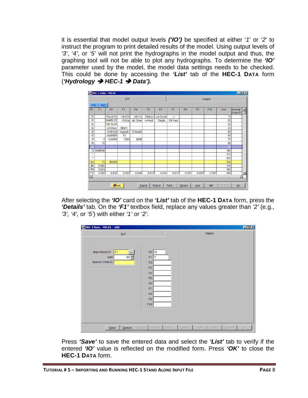it is essential that model output levels *('IO')* be specified at either '*1*' or '*2*' to instruct the program to print detailed results of the model. Using output levels of *'3'*, *'4'*, or *'5'* will not print the hydrographs in the model output and thus, the graphing tool will not be able to plot any hydrographs. To determine the *'IO'* parameter used by the model, the model data settings needs to be checked. This could be done by accessing the *'List'* tab of the **HEC-1 DATA** form (*'Hydrology HEC-1 Data').*

|                |                |                 | List           |                |                |                |         |                |       | Details |      |                    |                  |
|----------------|----------------|-----------------|----------------|----------------|----------------|----------------|---------|----------------|-------|---------|------|--------------------|------------------|
| Find           | Next           |                 |                |                |                |                |         |                |       |         |      |                    |                  |
| F <sub>0</sub> | F <sub>1</sub> | F <sub>2</sub>  | F <sub>3</sub> | F <sub>4</sub> | F <sub>5</sub> | F <sub>6</sub> | F7      | F <sub>8</sub> | F9    | F10     | Sort | Special<br>Code ID | $\blacktriangle$ |
| ID             |                | <b>Flood Co</b> | ntrol Di       | strict o       | f Marico       | pa Count       | ٧       |                |       |         | 10   |                    |                  |
| ID             |                | <b>EXAMPLE2</b> | - S-Gra        | ph, Gree       | n-Ampt,        | Single,        | 24 Hour |                |       |         | 20   |                    |                  |
| ID             |                | 100 YEAR        |                |                |                |                |         |                |       |         | 30   |                    |                  |
| ID             |                | 24 Hour         | <b>Storm</b>   |                |                |                |         |                |       |         | 40   |                    |                  |
| ID             |                | Unit Hyd        | rograph:       | S-Graph        |                |                |         |                |       |         | 50   |                    |                  |
| ID             |                | 04/09/20        | 13             |                |                |                |         |                |       |         | 60   |                    |                  |
| IT             | 3              | <b>1JAN99</b>   | 1200           | 2000           |                |                |         |                |       |         | 70   |                    |                  |
| IN             | 15             |                 |                |                |                |                |         |                |       |         | 80   |                    |                  |
| Ю              |                |                 |                |                |                |                |         |                |       |         | 90   |                    |                  |
| *DI            | <b>IAGRAM</b>  |                 |                |                |                |                |         |                |       |         | 100  |                    |                  |
| $\star$        |                |                 |                |                |                |                |         |                |       |         | 110  |                    |                  |
| $\star$        |                |                 |                |                |                |                |         |                |       |         | 120  |                    |                  |
| KK             | 1A             | <b>BASIN</b>    |                |                |                |                |         |                |       |         | 130  |                    |                  |
| <b>BA</b>      | 6.690          |                 |                |                |                |                |         |                |       |         | 140  |                    |                  |
| PB             | 3.831          |                 |                |                |                |                |         |                |       |         | 150  |                    |                  |
| PC             | 0.000          | 0.002           | 0.005          | 0.008          | 0.011          | 0.014          | 0.017   | 0.020          | 0.023 | 0.026   | 160  | ь                  | ▼                |
|                |                | <b>Olnfo</b>    |                |                |                |                |         |                |       |         |      |                    |                  |

After selecting the *'IO'* card on the *'List'* tab of the **HEC-1 DATA** form, press the *'Details'* tab. On the *'F1'* textbox field, replace any values greater than *'2'* (e.g., *'3', '4',* or *'5'*) with either *'1'* or *'2'*.

| HEC-1 Data - MB: 01 -- Edit                                        |                                                                                                                                 |           | $\Box$ D $\times$                           |
|--------------------------------------------------------------------|---------------------------------------------------------------------------------------------------------------------------------|-----------|---------------------------------------------|
| List<br>Major Basin ID<br> 01<br>$90 -$<br>Sort<br>Special Code ID | F <sub>0</sub> IO<br>F1<br>1<br>F <sub>2</sub><br>F3<br>F4<br>F <sub>5</sub><br>${\sf F6}$<br>F7<br>F <sub>8</sub><br>F9<br>F10 | Details   |                                             |
| Cancel<br>Export<br>$S$ ave                                        | ReSort<br>Print<br><b>Delete</b>                                                                                                | Add<br>MB | Update<br>$\overline{\mathsf{O}}\mathsf{K}$ |

Press *'Save'* to save the entered data and select the *'List'* tab to verify if the entered *'IO'* value is reflected on the modified form. Press *'OK'* to close the **HEC-1 DATA** form.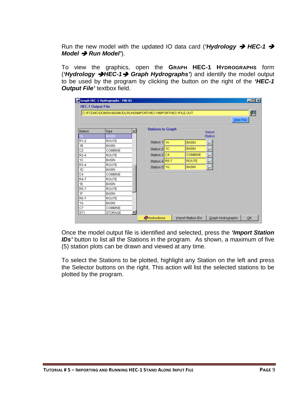Run the new model with the updated IO data card (*'Hydrology → HEC-1 → Model → Run Model'*).

To view the graphics, open the **GRAPH HEC-1 HYDROGRAPHS** form (*'Hydrology HEC-1 Graph Hydrographs'*) and identify the model output to be used by the program by clicking the button on the right of the *'HEC-1 Output File'* textbox field.

|                   | C:\FCDMC\DDMSW482\MODLRUNS\IMPORTHEC1\IMPORTHEC1FILE.OUT |                          |                |         |           | 齊 |
|-------------------|----------------------------------------------------------|--------------------------|----------------|---------|-----------|---|
|                   |                                                          |                          |                |         | View File |   |
| <b>Station</b>    | Type                                                     | <b>Stations to Graph</b> |                | Select  |           |   |
| IA                | <b>BASIN</b>                                             |                          |                | Station |           |   |
| $R1-2$            | <b>ROUTE</b>                                             | Station 1 1A             | <b>BASIN</b>   |         |           |   |
| 1B                | <b>BASIN</b>                                             |                          |                |         |           |   |
| C <sub>2</sub>    | <b>COMBINE</b>                                           | Station 2 <sup>1C</sup>  | <b>BASIN</b>   |         |           |   |
| $R2-4$            | <b>ROUTE</b>                                             | Station 3 C4             | <b>COMBINE</b> |         |           |   |
| 1 <sub>C</sub>    | <b>BASIN</b>                                             | Station 4 R5-7           | <b>ROUTE</b>   |         |           |   |
| R <sub>3</sub> -4 | <b>ROUTE</b>                                             | Station 5 1G             | <b>BASIN</b>   |         |           |   |
| 1D                | <b>BASIN</b>                                             |                          |                |         |           |   |
| C <sub>4</sub>    | <b>COMBINE</b>                                           |                          |                |         |           |   |
| R4-7              | <b>ROUTE</b>                                             |                          |                |         |           |   |
| 1E                | <b>BASIN</b>                                             |                          |                |         |           |   |
| R <sub>5</sub> -7 | <b>ROUTE</b>                                             |                          |                |         |           |   |
| 1F                | <b>BASIN</b>                                             |                          |                |         |           |   |
| R <sub>6</sub> -7 | <b>ROUTE</b>                                             |                          |                |         |           |   |
| 1G                | <b>BASIN</b>                                             |                          |                |         |           |   |
| C7                | <b>COMBINE</b>                                           |                          |                |         |           |   |
| ST <sub>1</sub>   | <b>STORAGE</b>                                           |                          |                |         |           |   |

Once the model output file is identified and selected, press the *'Import Station IDs'* button to list all the Stations in the program. As shown, a maximum of five (5) station plots can be drawn and viewed at any time.

To select the Stations to be plotted, highlight any Station on the left and press the Selector buttons on the right. This action will list the selected stations to be plotted by the program.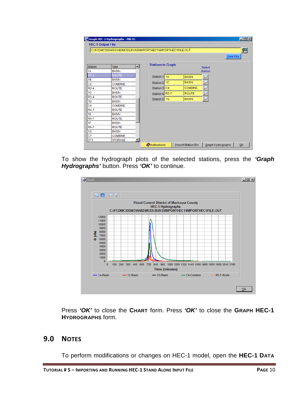|                   | C:\FCDMC\DDMSW482\MODLRUNS\IMPORTHEC1\IMPORTHEC1FILE.OUT |    |                          |                |                | 習<br>View File |
|-------------------|----------------------------------------------------------|----|--------------------------|----------------|----------------|----------------|
| <b>Station</b>    | Type                                                     | ᅬ  | <b>Stations to Graph</b> |                | <b>Select</b>  |                |
| 1A                | <b>BASIN</b>                                             |    |                          |                | <b>Station</b> |                |
| $R1-2$            | <b>ROUTE</b>                                             |    | Station 1 1A             | <b>BASIN</b>   |                |                |
| 1B                | <b>BASIN</b>                                             |    |                          |                |                |                |
| C <sub>2</sub>    | <b>COMBINE</b>                                           |    | Station 2 1C             | <b>BASIN</b>   |                |                |
| $R2-4$            | <b>ROUTE</b>                                             |    | Station 3 C4             | <b>COMBINE</b> |                |                |
| 1 <sup>C</sup>    | <b>BASIN</b>                                             |    | Station 4 R5-7           | <b>ROUTE</b>   |                |                |
| $R3-4$            | <b>ROUTE</b>                                             |    | Station 5 1G             | <b>BASIN</b>   |                |                |
| 1 <sub>D</sub>    | <b>BASIN</b>                                             |    |                          |                |                |                |
| C <sub>4</sub>    | <b>COMBINE</b>                                           |    |                          |                |                |                |
| <b>R4-7</b>       | <b>ROUTE</b>                                             |    |                          |                |                |                |
| 1E                | <b>BASIN</b>                                             |    |                          |                |                |                |
| $R5-7$            | <b>ROUTE</b>                                             |    |                          |                |                |                |
| 1F                | <b>BASIN</b>                                             |    |                          |                |                |                |
| R <sub>6</sub> -7 | <b>ROUTE</b>                                             |    |                          |                |                |                |
| 1G                | <b>BASIN</b>                                             |    |                          |                |                |                |
| C7                | <b>COMBINE</b>                                           |    |                          |                |                |                |
| ST <sub>1</sub>   | <b>STORAGE</b>                                           | ▾∣ |                          |                |                |                |

To show the hydrograph plots of the selected stations, press the *'Graph Hydrographs'* button. Press *'OK'* to continue.



Press *'OK'* to close the **CHART** form. Press *'OK'* to close the **GRAPH HEC-1 HYDROGRAPHS** form.

#### <span id="page-11-0"></span>**9.0 NOTES**

To perform modifications or changes on HEC-1 model, open the **HEC-1 DATA**